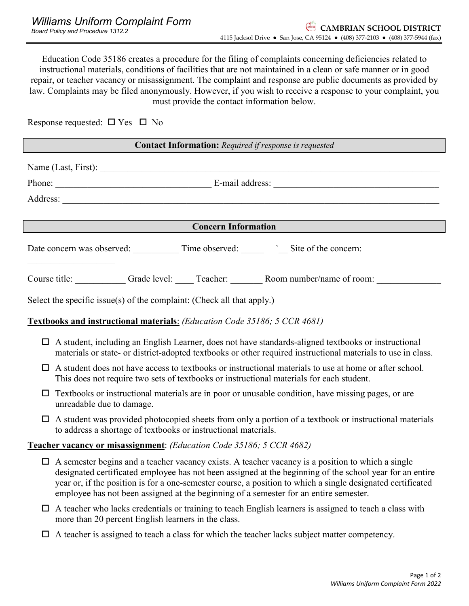Education Code 35186 creates a procedure for the filing of complaints concerning deficiencies related to instructional materials, conditions of facilities that are not maintained in a clean or safe manner or in good repair, or teacher vacancy or misassignment. The complaint and response are public documents as provided by law. Complaints may be filed anonymously. However, if you wish to receive a response to your complaint, you must provide the contact information below.

Response requested:  $\Box$  Yes  $\Box$  No

| <b>Contact Information:</b> Required if response is requested                                                                                                                                                            |  |  |
|--------------------------------------------------------------------------------------------------------------------------------------------------------------------------------------------------------------------------|--|--|
|                                                                                                                                                                                                                          |  |  |
|                                                                                                                                                                                                                          |  |  |
|                                                                                                                                                                                                                          |  |  |
|                                                                                                                                                                                                                          |  |  |
| <b>Concern Information</b>                                                                                                                                                                                               |  |  |
| Date concern was observed: Time observed: Site of the concern:                                                                                                                                                           |  |  |
| Course title: Grade level: Teacher: Room number/name of room:                                                                                                                                                            |  |  |
| Select the specific issue(s) of the complaint: (Check all that apply.)                                                                                                                                                   |  |  |
| <b>Textbooks and instructional materials:</b> (Education Code 35186; 5 CCR 4681)                                                                                                                                         |  |  |
| A student, including an English Learner, does not have standards-aligned textbooks or instructional<br>□<br>materials or state- or district-adopted textbooks or other required instructional materials to use in class. |  |  |

- $\Box$  A student does not have access to textbooks or instructional materials to use at home or after school. This does not require two sets of textbooks or instructional materials for each student.
- $\Box$  Textbooks or instructional materials are in poor or unusable condition, have missing pages, or are unreadable due to damage.
- $\Box$  A student was provided photocopied sheets from only a portion of a textbook or instructional materials to address a shortage of textbooks or instructional materials.

## **Teacher vacancy or misassignment**: *(Education Code 35186; 5 CCR 4682)*

- $\Box$  A semester begins and a teacher vacancy exists. A teacher vacancy is a position to which a single designated certificated employee has not been assigned at the beginning of the school year for an entire year or, if the position is for a one-semester course, a position to which a single designated certificated employee has not been assigned at the beginning of a semester for an entire semester.
- $\Box$  A teacher who lacks credentials or training to teach English learners is assigned to teach a class with more than 20 percent English learners in the class.
- $\Box$  A teacher is assigned to teach a class for which the teacher lacks subject matter competency.